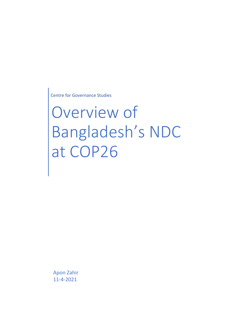Centre for Governance Studies

# Overview of Bangladesh's NDC at COP26

Apon Zahir 11-4-2021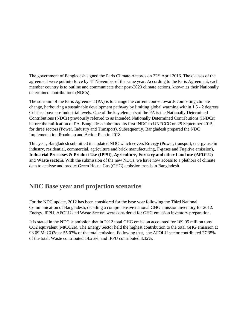The government of Bangladesh signed the Paris Climate Accords on 22nd April 2016. The clauses of the agreement were put into force by 4<sup>th</sup> November of the same year. According to the Paris Agreement, each member country is to outline and communicate their post-2020 climate actions, known as their Nationally determined contributions (NDCs).

The sole aim of the Paris Agreement (PA) is to change the current course towards combating climate change, harbouring a sustainable development pathway by limiting global warming within 1.5 - 2 degrees Celsius above pre-industrial levels. One of the key elements of the PA is the Nationally Determined Contributions (NDCs) previously referred to as Intended Nationally Determined Contributions (INDCs) before the ratification of PA. Bangladesh submitted its first INDC to UNFCCC on 25 September 2015, for three sectors (Power, Industry and Transport). Subsequently, Bangladesh prepared the NDC Implementation Roadmap and Action Plan in 2018.

This year, Bangladesh submitted its updated NDC which covers **Energy** (Power, transport, energy use in industry, residential, commercial, agriculture and brick manufacturing, F-gases and Fugitive emission), **Industrial Processes & Product Use (IPPU)**, **Agriculture, Forestry and other Land use (AFOLU)** and **Waste sectors**. With the submission of the new NDCs, we have now access to a plethora of climate data to analyse and predict Green House Gas (GHG) emission trends in Bangladesh.

## **NDC Base year and projection scenarios**

For the NDC update, 2012 has been considered for the base year following the Third National Communication of Bangladesh, detailing a comprehensive national GHG emission inventory for 2012. Energy, IPPU, AFOLU and Waste Sectors were considered for GHG emission inventory preparation.

It is stated in the NDC submission that in 2012 total GHG emission accounted for 169.05 million tons CO2 equivalent (MtCO2e). The Energy Sector held the highest contribution to the total GHG emission at 93.09 Mt CO2e or 55.07% of the total emission. Following that, the AFOLU sector contributed 27.35% of the total, Waste contributed 14.26%, and IPPU contributed 3.32%.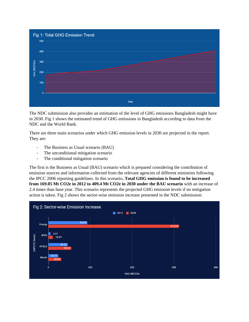

The NDC submission also provides an estimation of the level of GHG emissions Bangladesh might have in 2030. Fig 1 shows the estimated trend of GHG emissions in Bangladesh according to data from the NDC and the World Bank.

There are three main scenarios under which GHG emission levels in 2030 are projected in the report. They are:

- The Business as Usual scenario (BAU)
- The unconditional mitigation scenario
- The conditional mitigation scenario

The first is the Business as Usual (BAU) scenario which is prepared considering the contribution of emission sources and information collected from the relevant agencies of different ministries following the IPCC 2006 reporting guidelines. In this scenario, **Total GHG emission is found to be increased from 169.05 Mt CO2e in 2012 to 409.4 Mt CO2e in 2030 under the BAU scenario** with an increase of 2.4 times than base year. This scenario represents the projected GHG emission levels if no mitigation action is taken. Fig 2 shows the sector-wise emission increase presented in the NDC submission:

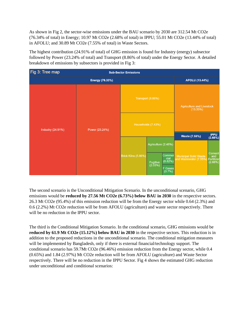As shown in Fig 2, the sector-wise emissions under the BAU scenario by 2030 are 312.54 Mt CO2e (76.34% of total) in Energy; 10.97 Mt CO2e (2.68% of total) in IPPU; 55.01 Mt CO2e (13.44% of total) in AFOLU; and 30.89 Mt CO2e (7.55% of total) in Waste Sectors.

The highest contribution (24.91% of total) of GHG emission is found for Industry (energy) subsector followed by Power (23.24% of total) and Transport (8.86% of total) under the Energy Sector. A detailed breakdown of emissions by subsectors is provided in Fig 3:

| Fig 3: Tree map<br><b>Sub-Sector Emissions</b> |                        |                     |                     |                                  |                                                                           |                        |
|------------------------------------------------|------------------------|---------------------|---------------------|----------------------------------|---------------------------------------------------------------------------|------------------------|
|                                                | <b>Energy (76.33%)</b> |                     |                     |                                  | <b>AFOLU (13.44%)</b>                                                     |                        |
| <b>Industry (24.91%)</b>                       | Power (23.24%)         | Transport (8.86%)   |                     |                                  | Agriculture and Livestock<br>(13.35%)                                     |                        |
|                                                |                        | Households (7.43%)  |                     |                                  |                                                                           |                        |
|                                                |                        |                     |                     |                                  | <b>Waste (7.55%)</b>                                                      | <b>IPPU</b><br>(2.68%) |
|                                                |                        | Brick Kilns (5.86%) | Agriculture (2.48%) |                                  |                                                                           |                        |
|                                                |                        |                     | Fugitive<br>(2.03%) | <b>Commer</b><br>cial<br>(0.82%) | Municipal Solid Waste<br>  and Wastewater (7.55%) Fertilizer<br>  (2.68%) | Cement                 |
|                                                |                        |                     |                     | <b>F</b> Gases<br>(0.7%)         |                                                                           |                        |

The second scenario is the Unconditional Mitigation Scenario. In the unconditional scenario, GHG emissions would be **reduced by 27.56 Mt CO2e (6.73%) below BAU in 2030** in the respective sectors. 26.3 Mt CO2e (95.4%) of this emission reduction will be from the Energy sector while 0.64 (2.3%) and 0.6 (2.2%) Mt CO2e reduction will be from AFOLU (agriculture) and waste sector respectively. There will be no reduction in the IPPU sector.

The third is the Conditional Mitigation Scenario. In the conditional scenario, GHG emissions would be **reduced by 61.9 Mt CO2e (15.12%) below BAU in 2030** in the respective sectors. This reduction is in addition to the proposed reductions in the unconditional scenario. The conditional mitigation measures will be implemented by Bangladesh, only if there is external financial/technology support. The conditional scenario has 59.7Mt CO2e (96.46%) emission reduction from the Energy sector, while 0.4 (0.65%) and 1.84 (2.97%) Mt CO2e reduction will be from AFOLU (agriculture) and Waste Sector respectively. There will be no reduction in the IPPU Sector. Fig 4 shows the estimated GHG reduction under unconditional and conditional scenarios: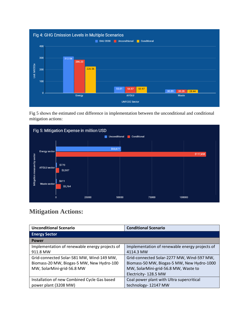

Fig 5 shows the estimated cost difference in implementation between the unconditional and conditional mitigation actions:



## **Mitigation Actions:**

| <b>Unconditional Scenario</b>                  | <b>Conditional Scenario</b>                    |  |
|------------------------------------------------|------------------------------------------------|--|
| <b>Energy Sector</b>                           |                                                |  |
| <b>Power</b>                                   |                                                |  |
| Implementation of renewable energy projects of | Implementation of renewable energy projects of |  |
| 911.8 MW                                       | 4114.3 MW                                      |  |
| Grid-connected Solar-581 MW, Wind-149 MW,      | Grid-connected Solar-2277 MW, Wind-597 MW,     |  |
| Biomass-20 MW, Biogas-5 MW, New Hydro-100      | Biomass-50 MW, Biogas-5 MW, New Hydro-1000     |  |
| MW, SolarMini-grid-56.8 MW                     | MW, SolarMini-grid-56.8 MW, Waste to           |  |
|                                                | Electricity- 128.5 MW                          |  |
| Installation of new Combined Cycle Gas based   | Coal power plant with Ultra supercritical      |  |
| power plant (3208 MW)                          | technology-12147 MW                            |  |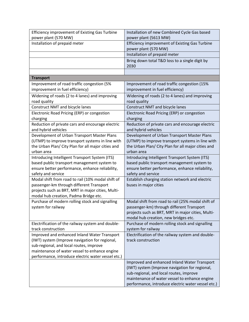| <b>Efficiency improvement of Existing Gas Turbine</b>              | Installation of new Combined Cycle Gas based                                              |  |  |
|--------------------------------------------------------------------|-------------------------------------------------------------------------------------------|--|--|
| power plant (570 MW)                                               | power plant (5613 MW)                                                                     |  |  |
| Installation of prepaid meter                                      | Efficiency improvement of Existing Gas Turbine                                            |  |  |
|                                                                    | power plant (570 MW)                                                                      |  |  |
|                                                                    | Installation of prepaid meter                                                             |  |  |
|                                                                    | Bring down total T&D loss to a single digit by<br>2030                                    |  |  |
|                                                                    |                                                                                           |  |  |
| <b>Transport</b>                                                   |                                                                                           |  |  |
| Improvement of road traffic congestion (5%                         | Improvement of road traffic congestion (15%                                               |  |  |
| improvement in fuel efficiency)                                    | improvement in fuel efficiency)                                                           |  |  |
| Widening of roads (2 to 4 lanes) and improving                     | Widening of roads (2 to 4 lanes) and improving                                            |  |  |
| road quality                                                       | road quality                                                                              |  |  |
| Construct NMT and bicycle lanes                                    | <b>Construct NMT and bicycle lanes</b>                                                    |  |  |
| Electronic Road Pricing (ERP) or congestion                        | Electronic Road Pricing (ERP) or congestion                                               |  |  |
| charging                                                           | charging                                                                                  |  |  |
| Reduction of private cars and encourage electric                   | Reduction of private cars and encourage electric                                          |  |  |
| and hybrid vehicles<br>Development of Urban Transport Master Plans | and hybrid vehicles<br>Development of Urban Transport Master Plans                        |  |  |
| (UTMP) to improve transport systems in line with                   | (UTMP) to improve transport systems in line with                                          |  |  |
| the Urban Plan/ City Plan for all major cities and                 | the Urban Plan/ City Plan for all major cities and                                        |  |  |
| urban area                                                         | urban area                                                                                |  |  |
| Introducing Intelligent Transport System (ITS)                     | Introducing Intelligent Transport System (ITS)                                            |  |  |
| based public transport management system to                        | based public transport management system to                                               |  |  |
| ensure better performance, enhance reliability,                    | ensure better performance, enhance reliability,                                           |  |  |
| safety and service                                                 | safety and service                                                                        |  |  |
| Modal shift from road to rail (10% modal shift of                  | Establish charging station network and electric                                           |  |  |
| passenger-km through different Transport                           | buses in major cities                                                                     |  |  |
| projects such as BRT, MRT in major cities, Multi-                  |                                                                                           |  |  |
| modal hub creation, Padma Bridge etc.                              |                                                                                           |  |  |
| Purchase of modern rolling stock and signalling                    | Modal shift from road to rail (25% modal shift of                                         |  |  |
| system for railway                                                 | passenger-km) through different Transport                                                 |  |  |
|                                                                    | projects such as BRT, MRT in major cities, Multi-<br>modal hub creation, new bridges etc. |  |  |
| Electrification of the railway system and double-                  | Purchase of modern rolling stock and signalling                                           |  |  |
| track construction                                                 | system for railway                                                                        |  |  |
| Improved and enhanced Inland Water Transport                       | Electrification of the railway system and double-                                         |  |  |
| (IWT) system (Improve navigation for regional,                     | track construction                                                                        |  |  |
| sub-regional, and local routes, improve                            |                                                                                           |  |  |
| maintenance of water vessel to enhance engine                      |                                                                                           |  |  |
| performance, introduce electric water vessel etc.)                 |                                                                                           |  |  |
|                                                                    | Improved and enhanced Inland Water Transport                                              |  |  |
|                                                                    | (IWT) system (Improve navigation for regional,                                            |  |  |
|                                                                    | sub-regional, and local routes, improve                                                   |  |  |
|                                                                    | maintenance of water vessel to enhance engine                                             |  |  |
|                                                                    | performance, introduce electric water vessel etc.)                                        |  |  |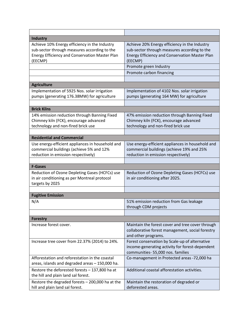| <b>Industry</b>                                                                                                                                                   |                                                                                                                                                                   |  |
|-------------------------------------------------------------------------------------------------------------------------------------------------------------------|-------------------------------------------------------------------------------------------------------------------------------------------------------------------|--|
| Achieve 10% Energy efficiency in the Industry<br>sub-sector through measures according to the<br><b>Energy Efficiency and Conservation Master Plan</b><br>(EECMP) | Achieve 20% Energy efficiency in the Industry<br>sub-sector through measures according to the<br><b>Energy Efficiency and Conservation Master Plan</b><br>(EECMP) |  |
|                                                                                                                                                                   | Promote green Industry                                                                                                                                            |  |
|                                                                                                                                                                   | Promote carbon financing                                                                                                                                          |  |
|                                                                                                                                                                   |                                                                                                                                                                   |  |
| <b>Agriculture</b>                                                                                                                                                |                                                                                                                                                                   |  |
| Implementation of 5925 Nos. solar irrigation<br>pumps (generating 176.38MW) for agriculture                                                                       | Implementation of 4102 Nos. solar irrigation<br>pumps (generating 164 MW) for agriculture                                                                         |  |
| <b>Brick Kilns</b>                                                                                                                                                |                                                                                                                                                                   |  |
| 14% emission reduction through Banning Fixed<br>Chimney kiln (FCK), encourage advanced<br>technology and non-fired brick use                                      | 47% emission reduction through Banning Fixed<br>Chimney kiln (FCK), encourage advanced<br>technology and non-fired brick use                                      |  |
|                                                                                                                                                                   |                                                                                                                                                                   |  |
| <b>Residential and Commercial</b>                                                                                                                                 |                                                                                                                                                                   |  |
| Use energy-efficient appliances in household and<br>commercial buildings (achieve 5% and 12%<br>reduction in emission respectively)                               | Use energy-efficient appliances in household and<br>commercial buildings (achieve 19% and 25%<br>reduction in emission respectively)                              |  |
|                                                                                                                                                                   |                                                                                                                                                                   |  |
| <b>F-Gases</b>                                                                                                                                                    |                                                                                                                                                                   |  |
| Reduction of Ozone Depleting Gases (HCFCs) use<br>in air conditioning as per Montreal protocol<br>targets by 2025                                                 | Reduction of Ozone Depleting Gases (HCFCs) use<br>in air conditioning after 2025.                                                                                 |  |
|                                                                                                                                                                   |                                                                                                                                                                   |  |
| <b>Fugitive Emission</b>                                                                                                                                          |                                                                                                                                                                   |  |
| N/A                                                                                                                                                               | 51% emission reduction from Gas leakage<br>through CDM projects                                                                                                   |  |
|                                                                                                                                                                   |                                                                                                                                                                   |  |
| <b>Forestry</b>                                                                                                                                                   |                                                                                                                                                                   |  |
| Increase forest cover.                                                                                                                                            | Maintain the forest cover and tree cover through<br>collaborative forest management, social forestry<br>and other programs.                                       |  |
| Increase tree cover from 22.37% (2014) to 24%.                                                                                                                    | Forest conservation by Scale-up of alternative<br>income-generating activity for forest-dependent<br>communities-55,000 nos. families                             |  |
| Afforestation and reforestation in the coastal<br>areas, islands and degraded areas - 150,000 ha.                                                                 | Co-management in Protected areas -72,000 ha                                                                                                                       |  |
| Restore the deforested forests - 137,800 ha at<br>the hill and plain land sal forest.                                                                             | Additional coastal afforestation activities.                                                                                                                      |  |
| Restore the degraded forests - 200,000 ha at the<br>hill and plain land sal forest.                                                                               | Maintain the restoration of degraded or<br>deforested areas.                                                                                                      |  |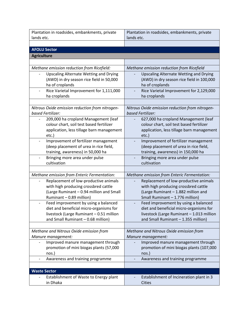| Plantation in roadsides, embankments, private                       | Plantation in roadsides, embankments, private                        |  |
|---------------------------------------------------------------------|----------------------------------------------------------------------|--|
| lands etc.                                                          | lands etc.                                                           |  |
|                                                                     |                                                                      |  |
| <b>AFOLU Sector</b>                                                 |                                                                      |  |
| <b>Agriculture</b>                                                  |                                                                      |  |
|                                                                     |                                                                      |  |
| Methane emission reduction from Ricefield:                          | Methane emission reduction from Ricefield                            |  |
| <b>Upscaling Alternate Wetting and Drying</b>                       | <b>Upscaling Alternate Wetting and Drying</b>                        |  |
| (AWD) in dry season rice field in 50,000                            | (AWD) in dry season rice field in 100,000                            |  |
| ha of croplands                                                     | ha of croplands                                                      |  |
| Rice Varietal Improvement for 1,111,000<br>$\overline{\phantom{a}}$ | Rice Varietal Improvement for 2,129,000                              |  |
| ha croplands                                                        | ha croplands                                                         |  |
| Nitrous Oxide emission reduction from nitrogen-                     |                                                                      |  |
| based Fertilizer:                                                   | Nitrous Oxide emission reduction from nitrogen-<br>based Fertilizer: |  |
| 209,000 ha cropland Management (leaf                                | 627,000 ha cropland Management (leaf                                 |  |
| colour chart, soil test based fertilizer                            | colour chart, soil test based fertilizer                             |  |
| application, less tillage barn management                           | application, less tillage barn management                            |  |
| etc.)                                                               | $etc.$ )                                                             |  |
| Improvement of fertilizer management                                | Improvement of fertilizer management                                 |  |
| (deep placement of urea in rice field,                              | (deep placement of urea in rice field,                               |  |
| training, awareness) in 50,000 ha                                   | training, awareness) in 150,000 ha                                   |  |
| Bringing more area under pulse                                      | Bringing more area under pulse                                       |  |
| cultivation                                                         | cultivation                                                          |  |
| Methane emission from Enteric Fermentation:                         | Methane emission from Enteric Fermentation:                          |  |
| Replacement of low-productive animals                               | Replacement of low-productive animals                                |  |
| with high producing crossbred cattle                                | with high producing crossbred cattle                                 |  |
| (Large Ruminant - 0.94 million and Small                            | (Large Ruminant - 1.882 million and                                  |  |
| Ruminant - 0.89 million)                                            | Small Ruminant - 1.776 million)                                      |  |
| Feed improvement by using a balanced<br>$\overline{\phantom{a}}$    | Feed improvement by using a balanced                                 |  |
| diet and beneficial micro-organisms for                             | diet and beneficial micro-organisms for                              |  |
| livestock (Large Ruminant - 0.51 million                            | livestock (Large Ruminant - 1.013 million                            |  |
| and Small Ruminant - 0.68 million)                                  | and Small Ruminant - 1.355 million)                                  |  |
|                                                                     |                                                                      |  |
| Methane and Nitrous Oxide emission from                             | Methane and Nitrous Oxide emission from                              |  |
| Manure management:                                                  | Manure management:                                                   |  |
| Improved manure management through                                  | Improved manure management through                                   |  |
| promotion of mini biogas plants (57,000<br>nos.)                    | promotion of mini biogas plants (107,000<br>nos.)                    |  |
| Awareness and training programme<br>$\overline{\phantom{a}}$        | Awareness and training programme                                     |  |
|                                                                     |                                                                      |  |
| <b>Waste Sector</b>                                                 |                                                                      |  |
| Establishment of Waste to Energy plant                              | Establishment of Incineration plant in 3                             |  |
| in Dhaka                                                            | Cities                                                               |  |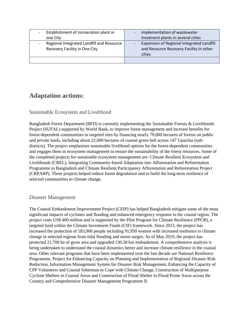| Establishment of Incineration plant in                                     | Implementation of wastewater                                                                                               |
|----------------------------------------------------------------------------|----------------------------------------------------------------------------------------------------------------------------|
| one City                                                                   | treatment plants in several cities                                                                                         |
| Regional Integrated Landfill and Resource<br>Recovery Facility in One City | Expansion of Regional Integrated Landfill<br>$\overline{\phantom{a}}$<br>and Resource Recovery Facility in other<br>cities |
|                                                                            |                                                                                                                            |

## **Adaptation actions:**

#### Sustainable Ecosystem and Livelihood

Bangladesh Forest Department (BFD) is currently implementing the Sustainable Forests & Livelihoods Project (SUFAL) supported by World Bank, to improve forest management and increase benefits for forest-dependent communities in targeted sites by financing nearly 79,000 hectares of forests on public and private lands, including about 22,000 hectares of coastal green belt across 147 Upazilas (subdistricts). The project emphasizes sustainable livelihood options for the forest-dependent communities and engages them in ecosystem management to ensure the sustainability of the forest resources. Some of the completed projects for sustainable ecosystem management are- Climate Resilient Ecosystem and Livelihoods (CREL), Integrating Community-based Adaptation into Afforestation and Reforestation Programme in Bangladesh and Climate Resilient Participatory Afforestation and Reforestation Project (CRPARP). These projects helped reduce forest degradation and to build the long-term resilience of selected communities to climate change.

#### Disaster Management

The Coastal Embankment Improvement Project (CEIP) has helped Bangladesh mitigate some of the most significant impacts of cyclones and flooding and enhanced emergency response in the coastal region. The project costs US\$ 400 million and is supported by the Pilot Program for Climate Resilience (PPCR), a targeted fund within the Climate Investment Funds (CIF) framework. Since 2013, the project has increased the protection of 183,900 people including 91,950 women with increased resilience to climate change in selected regions from tidal flooding and storm surges. As of May 2019, the project has protected 21,700 ha of gross area and upgraded 130.58 km embankment. A comprehensive analysis is being undertaken to understand the coastal dynamics better and increase climate resilience in the coastal area. Other relevant programs that have been implemented over the last decade are National Resilience Programme, Project for Enhancing Capacity on Planning and Implementation of Regional Disaster Risk Reduction, Information Management System for Disaster Risk Management, Enhancing the Capacity of CPP Volunteers and Coastal fisherman to Cope with Climate Change, Construction of Multipurpose Cyclone Shelters in Coastal Areas and Construction of Flood Shelter in Flood Prone Areas across the Country and Comprehensive Disaster Management Programme II.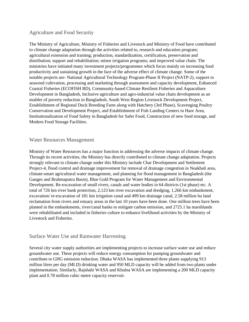#### Agriculture and Food Security

The Ministry of Agriculture, Ministry of Fisheries and Livestock and Ministry of Food have contributed to climate change adaptation through the activities related to, research and education program; agricultural extension and training; production, standardization, certification, preservation and distribution; support and rehabilitation; minor irrigation programs; and improved value chain. The ministries have initiated many investment projects/programmes which focus mainly on increasing food productivity and sustaining growth in the face of the adverse effect of climate change. Some of the notable projects are- National Agricultural Technology Program-Phase II Project (NATP-2), support to seaweed cultivation, processing and marketing through assessment and capacity development, Enhanced Coastal Fisheries (ECOFISH BD), Community-based Climate Resilient Fisheries and Aquaculture Development in Bangladesh, Inclusive agriculture and agro-industrial value chain development as an enabler of poverty reduction in Bangladesh, South West Region Livestock Development Project, Establishment of Regional Duck Breeding Farm along with Hatchery (3rd Phase), Scavenging Poultry Conservation and Development Project, and Establishment of Fish Landing Centers in Haor Area, Institutionalization of Food Safety in Bangladesh for Safer Food, Construction of new food storage, and Modern Food Storage Facilities.

#### Water Resources Management

Ministry of Water Resources has a major function in addressing the adverse impacts of climate change. Through its recent activities, the Ministry has directly contributed to climate change adaptation. Projects strongly relevant to climate change under this Ministry include Char Development and Settlement Project-4, flood control and drainage improvement for removal of drainage congestion in Noakhali area, climate-smart agricultural water management, and planning for flood management in Bangladesh (the Ganges and Brahmaputra Basin), Blue Gold Program for Water Management and Environmental Development. Re-excavation of small rivers, canals and water bodies in 64 districts (1st phase) etc. A total of 726 km river bank protection, 2,123 km river excavation and dredging, 1,266 km embankment, excavation/ re-excavation of 181 km irrigation canal and 499 km drainage canal, 2.58 million ha land reclamation from rivers and estuary areas in the last 10 years have been done. One million trees have been planted in the embankments, river/canal banks to mitigate carbon emission, and 2725.1 ha marshlands were rehabilitated and included in fisheries culture to enhance livelihood activities by the Ministry of Livestock and Fisheries.

#### Surface Water Use and Rainwater Harvesting

Several city water supply authorities are implementing projects to increase surface water use and reduce groundwater use. These projects will reduce energy consumption for pumping groundwater and contribute to GHG emission reduction. Dhaka WASA has implemented three plants supplying 913 million litres per day (MLD) drinking water and 950 MLD capacity will be added from two plants under implementation. Similarly, Rajshahi WASA and Khulna WASA are implementing a 200 MLD capacity plant and 0.78 million cubic metre capacity reservoir.